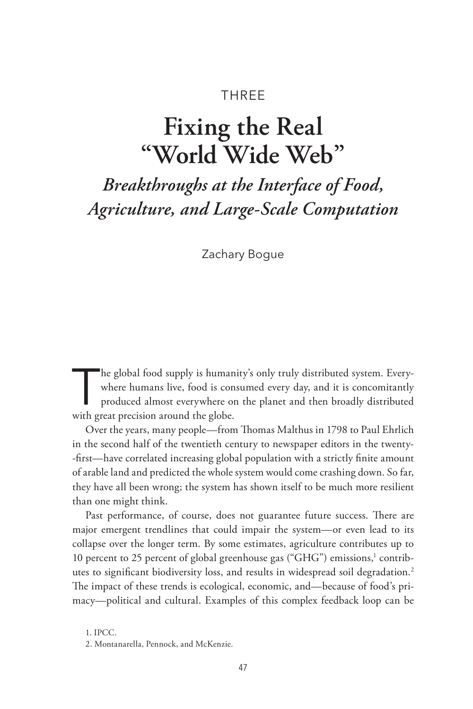## THREE

# **Fixing the Real "World Wide Web"**

## *Breakthroughs at the Interface of Food, Agriculture, and Large-Scale Computation*

Zachary Bogue

The global food supply is humanity's only truly distributed system. Everywhere humans live, food is consumed every day, and it is concomitantly produced almost everywhere on the planet and then broadly distributed with gre where humans live, food is consumed every day, and it is concomitantly with great precision around the globe.

Over the years, many people—from Thomas Malthus in 1798 to Paul Ehrlich in the second half of the twentieth century to newspaper editors in the twenty- -first—have correlated increasing global population with a strictly finite amount of arable land and predicted the whole system would come crashing down. So far, they have all been wrong; the system has shown itself to be much more resilient than one might think.

Past performance, of course, does not guarantee future success. There are major emergent trendlines that could impair the system—or even lead to its collapse over the longer term. By some estimates, agriculture contributes up to 10 percent to 25 percent of global greenhouse gas ("GHG") emissions,<sup>1</sup> contributes to significant biodiversity loss, and results in widespread soil degradation.2 The impact of these trends is ecological, economic, and—because of food's primacy—political and cultural. Examples of this complex feedback loop can be

1. IPCC.

<sup>2.</sup> Montanarella, Pennock, and McKenzie.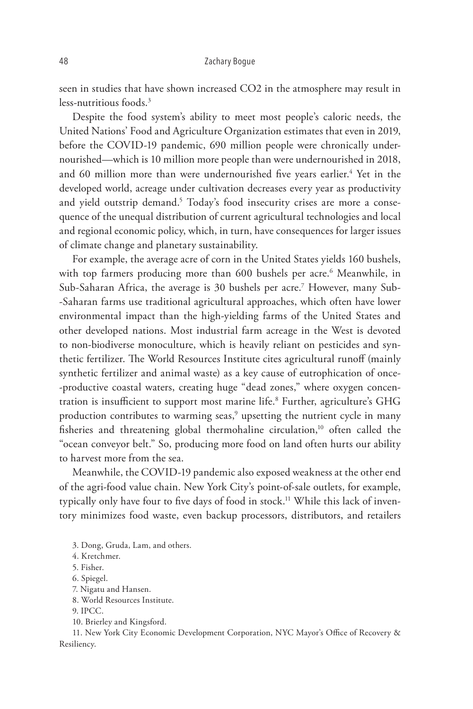seen in studies that have shown increased CO2 in the atmosphere may result in less-nutritious foods<sup>3</sup>

Despite the food system's ability to meet most people's caloric needs, the United Nations' Food and Agriculture Organization estimates that even in 2019, before the COVID-19 pandemic, 690 million people were chronically undernourished—which is 10 million more people than were undernourished in 2018, and 60 million more than were undernourished five years earlier.<sup>4</sup> Yet in the developed world, acreage under cultivation decreases every year as productivity and yield outstrip demand.<sup>5</sup> Today's food insecurity crises are more a consequence of the unequal distribution of current agricultural technologies and local and regional economic policy, which, in turn, have consequences for larger issues of climate change and planetary sustainability.

For example, the average acre of corn in the United States yields 160 bushels, with top farmers producing more than 600 bushels per acre.<sup>6</sup> Meanwhile, in Sub-Saharan Africa, the average is 30 bushels per acre.7 However, many Sub- -Saharan farms use traditional agricultural approaches, which often have lower environmental impact than the high-yielding farms of the United States and other developed nations. Most industrial farm acreage in the West is devoted to non-biodiverse monoculture, which is heavily reliant on pesticides and synthetic fertilizer. The World Resources Institute cites agricultural runoff (mainly synthetic fertilizer and animal waste) as a key cause of eutrophication of once- -productive coastal waters, creating huge "dead zones," where oxygen concentration is insufficient to support most marine life.8 Further, agriculture's GHG production contributes to warming seas,<sup>9</sup> upsetting the nutrient cycle in many fisheries and threatening global thermohaline circulation,<sup>10</sup> often called the "ocean conveyor belt." So, producing more food on land often hurts our ability to harvest more from the sea.

Meanwhile, the COVID-19 pandemic also exposed weakness at the other end of the agri-food value chain. New York City's point-of-sale outlets, for example, typically only have four to five days of food in stock.<sup>11</sup> While this lack of inventory minimizes food waste, even backup processors, distributors, and retailers

- 8. World Resources Institute.
- 9. IPCC.
- 10. Brierley and Kingsford.

11. New York City Economic Development Corporation, NYC Mayor's Office of Recovery & Resiliency.

<sup>3.</sup> Dong, Gruda, Lam, and others.

<sup>4.</sup> Kretchmer.

<sup>5.</sup> Fisher.

<sup>6.</sup> Spiegel.

<sup>7.</sup> Nigatu and Hansen.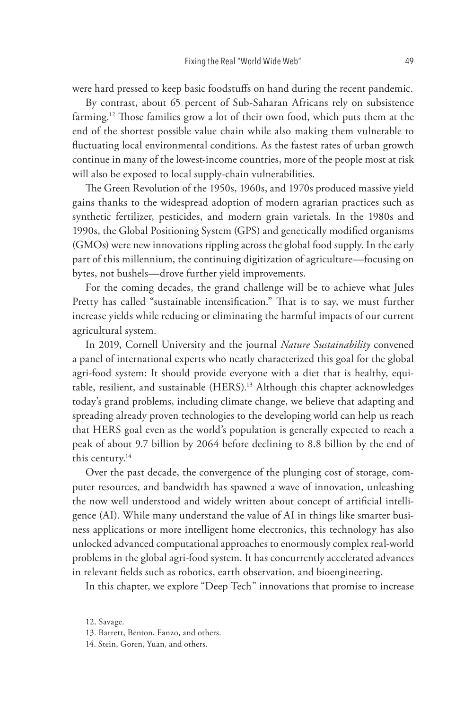were hard pressed to keep basic foodstuffs on hand during the recent pandemic.

By contrast, about 65 percent of Sub-Saharan Africans rely on subsistence farming.<sup>12</sup> Those families grow a lot of their own food, which puts them at the end of the shortest possible value chain while also making them vulnerable to fluctuating local environmental conditions. As the fastest rates of urban growth continue in many of the lowest-income countries, more of the people most at risk will also be exposed to local supply-chain vulnerabilities.

The Green Revolution of the 1950s, 1960s, and 1970s produced massive yield gains thanks to the widespread adoption of modern agrarian practices such as synthetic fertilizer, pesticides, and modern grain varietals. In the 1980s and 1990s, the Global Positioning System (GPS) and genetically modified organisms (GMOs) were new innovations rippling across the global food supply. In the early part of this millennium, the continuing digitization of agriculture—focusing on bytes, not bushels—drove further yield improvements.

For the coming decades, the grand challenge will be to achieve what Jules Pretty has called "sustainable intensification." That is to say, we must further increase yields while reducing or eliminating the harmful impacts of our current agricultural system.

In 2019, Cornell University and the journal *Nature Sustainability* convened a panel of international experts who neatly characterized this goal for the global agri-food system: It should provide everyone with a diet that is healthy, equitable, resilient, and sustainable (HERS).<sup>13</sup> Although this chapter acknowledges today's grand problems, including climate change, we believe that adapting and spreading already proven technologies to the developing world can help us reach that HERS goal even as the world's population is generally expected to reach a peak of about 9.7 billion by 2064 before declining to 8.8 billion by the end of this century.<sup>14</sup>

Over the past decade, the convergence of the plunging cost of storage, computer resources, and bandwidth has spawned a wave of innovation, unleashing the now well understood and widely written about concept of artificial intelligence (AI). While many understand the value of AI in things like smarter business applications or more intelligent home electronics, this technology has also unlocked advanced computational approaches to enormously complex real-world problems in the global agri-food system. It has concurrently accelerated advances in relevant fields such as robotics, earth observation, and bioengineering.

In this chapter, we explore "Deep Tech" innovations that promise to increase

12. Savage.

<sup>13.</sup> Barrett, Benton, Fanzo, and others.

<sup>14.</sup> Stein, Goren, Yuan, and others.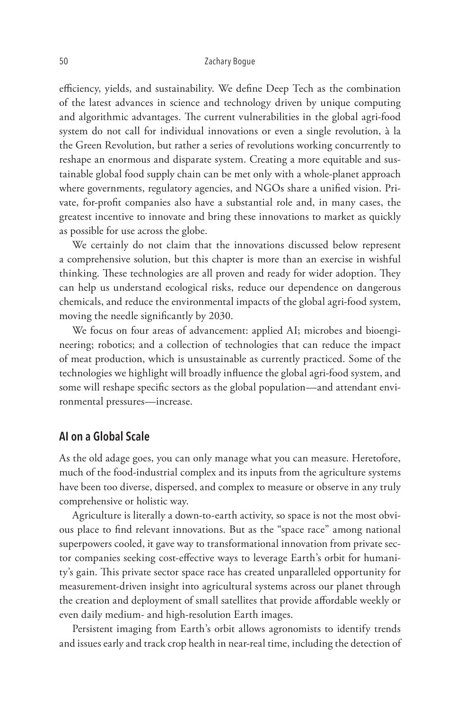efficiency, yields, and sustainability. We define Deep Tech as the combination of the latest advances in science and technology driven by unique computing and algorithmic advantages. The current vulnerabilities in the global agri-food system do not call for individual innovations or even a single revolution, à la the Green Revolution, but rather a series of revolutions working concurrently to reshape an enormous and disparate system. Creating a more equitable and sustainable global food supply chain can be met only with a whole-planet approach where governments, regulatory agencies, and NGOs share a unified vision. Private, for-profit companies also have a substantial role and, in many cases, the greatest incentive to innovate and bring these innovations to market as quickly as possible for use across the globe.

We certainly do not claim that the innovations discussed below represent a comprehensive solution, but this chapter is more than an exercise in wishful thinking. These technologies are all proven and ready for wider adoption. They can help us understand ecological risks, reduce our dependence on dangerous chemicals, and reduce the environmental impacts of the global agri-food system, moving the needle significantly by 2030.

We focus on four areas of advancement: applied AI; microbes and bioengineering; robotics; and a collection of technologies that can reduce the impact of meat production, which is unsustainable as currently practiced. Some of the technologies we highlight will broadly influence the global agri-food system, and some will reshape specific sectors as the global population—and attendant environmental pressures—increase.

## **AI on a Global Scale**

As the old adage goes, you can only manage what you can measure. Heretofore, much of the food-industrial complex and its inputs from the agriculture systems have been too diverse, dispersed, and complex to measure or observe in any truly comprehensive or holistic way.

Agriculture is literally a down-to-earth activity, so space is not the most obvious place to find relevant innovations. But as the "space race" among national superpowers cooled, it gave way to transformational innovation from private sector companies seeking cost-effective ways to leverage Earth's orbit for humanity's gain. This private sector space race has created unparalleled opportunity for measurement-driven insight into agricultural systems across our planet through the creation and deployment of small satellites that provide affordable weekly or even daily medium- and high-resolution Earth images.

Persistent imaging from Earth's orbit allows agronomists to identify trends and issues early and track crop health in near-real time, including the detection of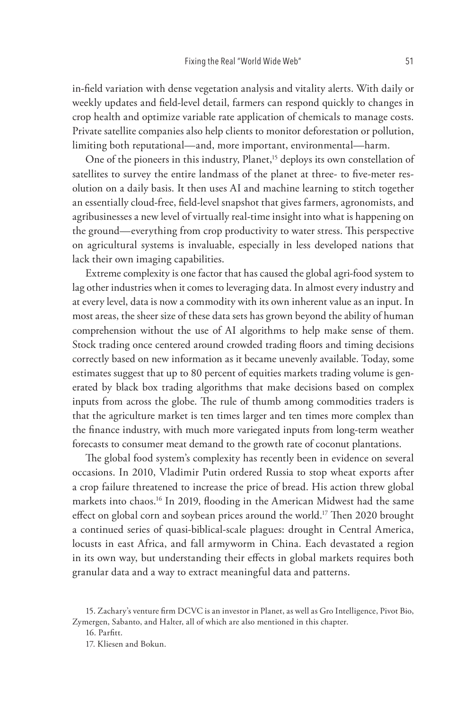in-field variation with dense vegetation analysis and vitality alerts. With daily or weekly updates and field-level detail, farmers can respond quickly to changes in crop health and optimize variable rate application of chemicals to manage costs. Private satellite companies also help clients to monitor deforestation or pollution, limiting both reputational—and, more important, environmental—harm.

One of the pioneers in this industry, Planet,<sup>15</sup> deploys its own constellation of satellites to survey the entire landmass of the planet at three- to five-meter resolution on a daily basis. It then uses AI and machine learning to stitch together an essentially cloud-free, field-level snapshot that gives farmers, agronomists, and agribusinesses a new level of virtually real-time insight into what is happening on the ground—everything from crop productivity to water stress. This perspective on agricultural systems is invaluable, especially in less developed nations that lack their own imaging capabilities.

Extreme complexity is one factor that has caused the global agri-food system to lag other industries when it comes to leveraging data. In almost every industry and at every level, data is now a commodity with its own inherent value as an input. In most areas, the sheer size of these data sets has grown beyond the ability of human comprehension without the use of AI algorithms to help make sense of them. Stock trading once centered around crowded trading floors and timing decisions correctly based on new information as it became unevenly available. Today, some estimates suggest that up to 80 percent of equities markets trading volume is generated by black box trading algorithms that make decisions based on complex inputs from across the globe. The rule of thumb among commodities traders is that the agriculture market is ten times larger and ten times more complex than the finance industry, with much more variegated inputs from long-term weather forecasts to consumer meat demand to the growth rate of coconut plantations.

The global food system's complexity has recently been in evidence on several occasions. In 2010, Vladimir Putin ordered Russia to stop wheat exports after a crop failure threatened to increase the price of bread. His action threw global markets into chaos.<sup>16</sup> In 2019, flooding in the American Midwest had the same effect on global corn and soybean prices around the world.<sup>17</sup> Then 2020 brought a continued series of quasi-biblical-scale plagues: drought in Central America, locusts in east Africa, and fall armyworm in China. Each devastated a region in its own way, but understanding their effects in global markets requires both granular data and a way to extract meaningful data and patterns.

<sup>15.</sup> Zachary's venture firm DCVC is an investor in Planet, as well as Gro Intelligence, Pivot Bio, Zymergen, Sabanto, and Halter, all of which are also mentioned in this chapter.

<sup>16.</sup> Parfitt.

<sup>17.</sup> Kliesen and Bokun.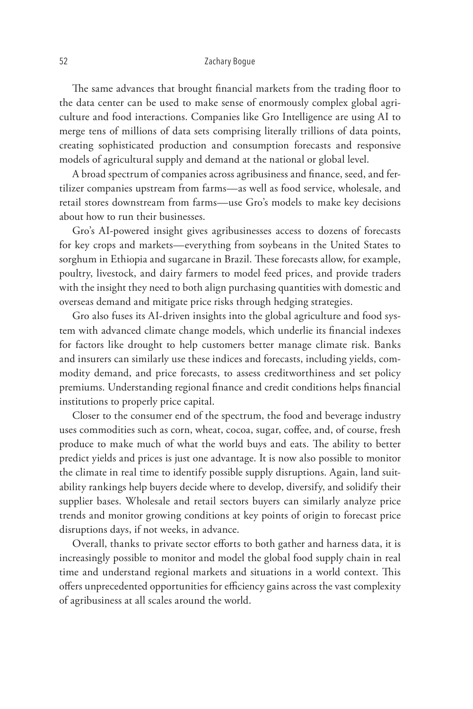The same advances that brought financial markets from the trading floor to the data center can be used to make sense of enormously complex global agriculture and food interactions. Companies like Gro Intelligence are using AI to merge tens of millions of data sets comprising literally trillions of data points, creating sophisticated production and consumption forecasts and responsive models of agricultural supply and demand at the national or global level.

A broad spectrum of companies across agribusiness and finance, seed, and fertilizer companies upstream from farms—as well as food service, wholesale, and retail stores downstream from farms—use Gro's models to make key decisions about how to run their businesses.

Gro's AI-powered insight gives agribusinesses access to dozens of forecasts for key crops and markets—everything from soybeans in the United States to sorghum in Ethiopia and sugarcane in Brazil. These forecasts allow, for example, poultry, livestock, and dairy farmers to model feed prices, and provide traders with the insight they need to both align purchasing quantities with domestic and overseas demand and mitigate price risks through hedging strategies.

Gro also fuses its AI-driven insights into the global agriculture and food system with advanced climate change models, which underlie its financial indexes for factors like drought to help customers better manage climate risk. Banks and insurers can similarly use these indices and forecasts, including yields, commodity demand, and price forecasts, to assess creditworthiness and set policy premiums. Understanding regional finance and credit conditions helps financial institutions to properly price capital.

Closer to the consumer end of the spectrum, the food and beverage industry uses commodities such as corn, wheat, cocoa, sugar, coffee, and, of course, fresh produce to make much of what the world buys and eats. The ability to better predict yields and prices is just one advantage. It is now also possible to monitor the climate in real time to identify possible supply disruptions. Again, land suitability rankings help buyers decide where to develop, diversify, and solidify their supplier bases. Wholesale and retail sectors buyers can similarly analyze price trends and monitor growing conditions at key points of origin to forecast price disruptions days, if not weeks, in advance.

Overall, thanks to private sector efforts to both gather and harness data, it is increasingly possible to monitor and model the global food supply chain in real time and understand regional markets and situations in a world context. This offers unprecedented opportunities for efficiency gains across the vast complexity of agribusiness at all scales around the world.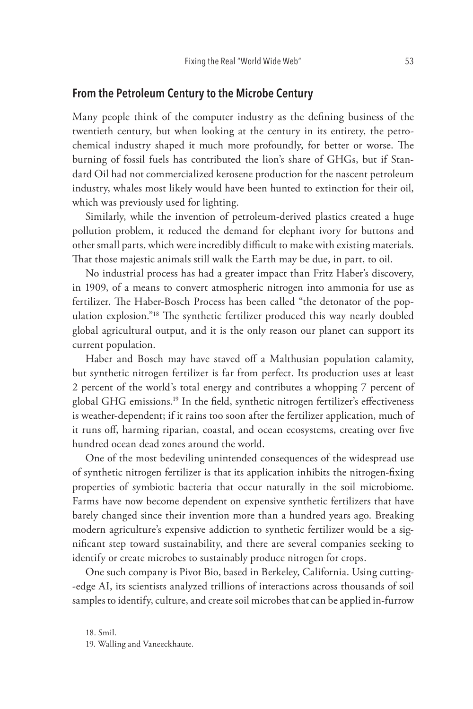## **From the Petroleum Century to the Microbe Century**

Many people think of the computer industry as the defining business of the twentieth century, but when looking at the century in its entirety, the petrochemical industry shaped it much more profoundly, for better or worse. The burning of fossil fuels has contributed the lion's share of GHGs, but if Standard Oil had not commercialized kerosene production for the nascent petroleum industry, whales most likely would have been hunted to extinction for their oil, which was previously used for lighting.

Similarly, while the invention of petroleum-derived plastics created a huge pollution problem, it reduced the demand for elephant ivory for buttons and other small parts, which were incredibly difficult to make with existing materials. That those majestic animals still walk the Earth may be due, in part, to oil.

No industrial process has had a greater impact than Fritz Haber's discovery, in 1909, of a means to convert atmospheric nitrogen into ammonia for use as fertilizer. The Haber-Bosch Process has been called "the detonator of the population explosion."18 The synthetic fertilizer produced this way nearly doubled global agricultural output, and it is the only reason our planet can support its current population.

Haber and Bosch may have staved off a Malthusian population calamity, but synthetic nitrogen fertilizer is far from perfect. Its production uses at least 2 percent of the world's total energy and contributes a whopping 7 percent of global GHG emissions.19 In the field, synthetic nitrogen fertilizer's effectiveness is weather-dependent; if it rains too soon after the fertilizer application, much of it runs off, harming riparian, coastal, and ocean ecosystems, creating over five hundred ocean dead zones around the world.

One of the most bedeviling unintended consequences of the widespread use of synthetic nitrogen fertilizer is that its application inhibits the nitrogen-fixing properties of symbiotic bacteria that occur naturally in the soil microbiome. Farms have now become dependent on expensive synthetic fertilizers that have barely changed since their invention more than a hundred years ago. Breaking modern agriculture's expensive addiction to synthetic fertilizer would be a significant step toward sustainability, and there are several companies seeking to identify or create microbes to sustainably produce nitrogen for crops.

One such company is Pivot Bio, based in Berkeley, California. Using cutting- -edge AI, its scientists analyzed trillions of interactions across thousands of soil samples to identify, culture, and create soil microbes that can be applied in-furrow

18. Smil.

19. Walling and Vaneeckhaute.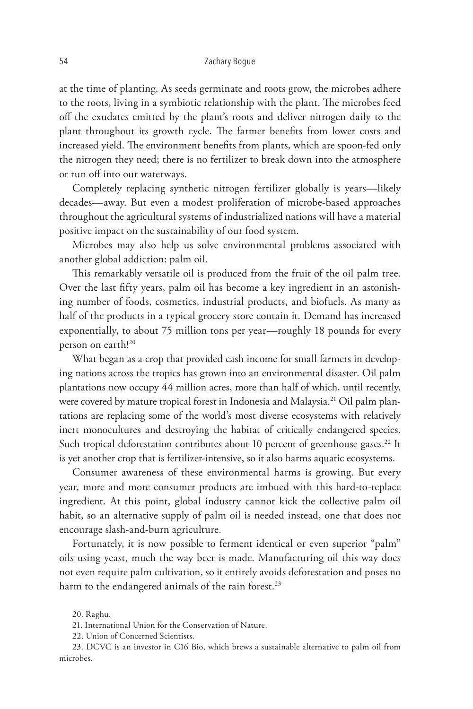at the time of planting. As seeds germinate and roots grow, the microbes adhere to the roots, living in a symbiotic relationship with the plant. The microbes feed off the exudates emitted by the plant's roots and deliver nitrogen daily to the plant throughout its growth cycle. The farmer benefits from lower costs and increased yield. The environment benefits from plants, which are spoon-fed only the nitrogen they need; there is no fertilizer to break down into the atmosphere or run off into our waterways.

Completely replacing synthetic nitrogen fertilizer globally is years—likely decades—away. But even a modest proliferation of microbe-based approaches throughout the agricultural systems of industrialized nations will have a material positive impact on the sustainability of our food system.

Microbes may also help us solve environmental problems associated with another global addiction: palm oil.

This remarkably versatile oil is produced from the fruit of the oil palm tree. Over the last fifty years, palm oil has become a key ingredient in an astonishing number of foods, cosmetics, industrial products, and biofuels. As many as half of the products in a typical grocery store contain it. Demand has increased exponentially, to about 75 million tons per year—roughly 18 pounds for every person on earth!<sup>20</sup>

What began as a crop that provided cash income for small farmers in developing nations across the tropics has grown into an environmental disaster. Oil palm plantations now occupy 44 million acres, more than half of which, until recently, were covered by mature tropical forest in Indonesia and Malaysia.<sup>21</sup> Oil palm plantations are replacing some of the world's most diverse ecosystems with relatively inert monocultures and destroying the habitat of critically endangered species. Such tropical deforestation contributes about 10 percent of greenhouse gases.<sup>22</sup> It is yet another crop that is fertilizer-intensive, so it also harms aquatic ecosystems.

Consumer awareness of these environmental harms is growing. But every year, more and more consumer products are imbued with this hard-to-replace ingredient. At this point, global industry cannot kick the collective palm oil habit, so an alternative supply of palm oil is needed instead, one that does not encourage slash-and-burn agriculture.

Fortunately, it is now possible to ferment identical or even superior "palm" oils using yeast, much the way beer is made. Manufacturing oil this way does not even require palm cultivation, so it entirely avoids deforestation and poses no harm to the endangered animals of the rain forest.<sup>23</sup>

<sup>20.</sup> Raghu.

<sup>21.</sup> International Union for the Conservation of Nature.

<sup>22.</sup> Union of Concerned Scientists.

<sup>23.</sup> DCVC is an investor in C16 Bio, which brews a sustainable alternative to palm oil from microbes.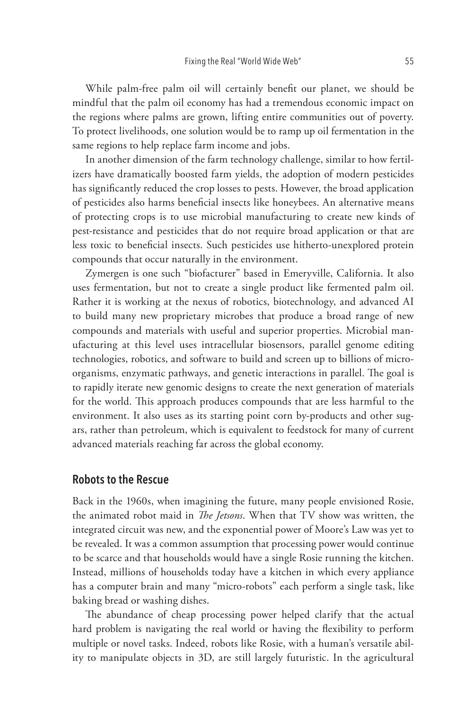While palm-free palm oil will certainly benefit our planet, we should be mindful that the palm oil economy has had a tremendous economic impact on the regions where palms are grown, lifting entire communities out of poverty. To protect livelihoods, one solution would be to ramp up oil fermentation in the same regions to help replace farm income and jobs.

In another dimension of the farm technology challenge, similar to how fertilizers have dramatically boosted farm yields, the adoption of modern pesticides has significantly reduced the crop losses to pests. However, the broad application of pesticides also harms beneficial insects like honeybees. An alternative means of protecting crops is to use microbial manufacturing to create new kinds of pest-resistance and pesticides that do not require broad application or that are less toxic to beneficial insects. Such pesticides use hitherto-unexplored protein compounds that occur naturally in the environment.

Zymergen is one such "biofacturer" based in Emeryville, California. It also uses fermentation, but not to create a single product like fermented palm oil. Rather it is working at the nexus of robotics, biotechnology, and advanced AI to build many new proprietary microbes that produce a broad range of new compounds and materials with useful and superior properties. Microbial manufacturing at this level uses intracellular biosensors, parallel genome editing technologies, robotics, and software to build and screen up to billions of microorganisms, enzymatic pathways, and genetic interactions in parallel. The goal is to rapidly iterate new genomic designs to create the next generation of materials for the world. This approach produces compounds that are less harmful to the environment. It also uses as its starting point corn by-products and other sugars, rather than petroleum, which is equivalent to feedstock for many of current advanced materials reaching far across the global economy.

## **Robots to the Rescue**

Back in the 1960s, when imagining the future, many people envisioned Rosie, the animated robot maid in *The Jetsons*. When that TV show was written, the integrated circuit was new, and the exponential power of Moore's Law was yet to be revealed. It was a common assumption that processing power would continue to be scarce and that households would have a single Rosie running the kitchen. Instead, millions of households today have a kitchen in which every appliance has a computer brain and many "micro-robots" each perform a single task, like baking bread or washing dishes.

The abundance of cheap processing power helped clarify that the actual hard problem is navigating the real world or having the flexibility to perform multiple or novel tasks. Indeed, robots like Rosie, with a human's versatile ability to manipulate objects in 3D, are still largely futuristic. In the agricultural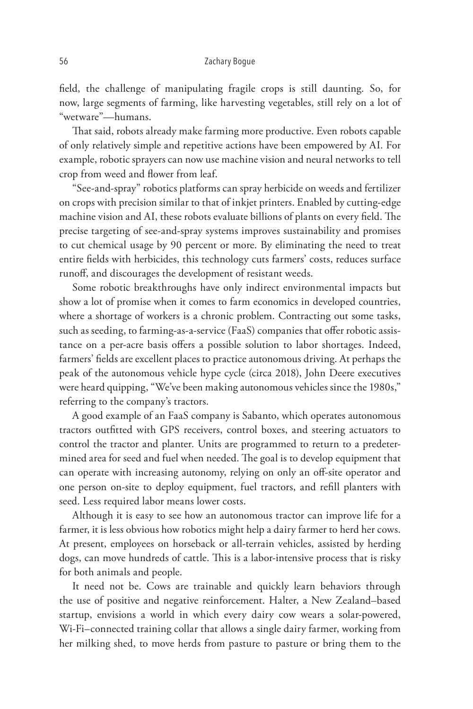field, the challenge of manipulating fragile crops is still daunting. So, for now, large segments of farming, like harvesting vegetables, still rely on a lot of "wetware"—humans.

That said, robots already make farming more productive. Even robots capable of only relatively simple and repetitive actions have been empowered by AI. For example, robotic sprayers can now use machine vision and neural networks to tell crop from weed and flower from leaf.

"See-and-spray" robotics platforms can spray herbicide on weeds and fertilizer on crops with precision similar to that of inkjet printers. Enabled by cutting-edge machine vision and AI, these robots evaluate billions of plants on every field. The precise targeting of see-and-spray systems improves sustainability and promises to cut chemical usage by 90 percent or more. By eliminating the need to treat entire fields with herbicides, this technology cuts farmers' costs, reduces surface runoff, and discourages the development of resistant weeds.

Some robotic breakthroughs have only indirect environmental impacts but show a lot of promise when it comes to farm economics in developed countries, where a shortage of workers is a chronic problem. Contracting out some tasks, such as seeding, to farming-as-a-service (FaaS) companies that offer robotic assistance on a per-acre basis offers a possible solution to labor shortages. Indeed, farmers' fields are excellent places to practice autonomous driving. At perhaps the peak of the autonomous vehicle hype cycle (circa 2018), John Deere executives were heard quipping, "We've been making autonomous vehicles since the 1980s," referring to the company's tractors.

A good example of an FaaS company is Sabanto, which operates autonomous tractors outfitted with GPS receivers, control boxes, and steering actuators to control the tractor and planter. Units are programmed to return to a predetermined area for seed and fuel when needed. The goal is to develop equipment that can operate with increasing autonomy, relying on only an off-site operator and one person on-site to deploy equipment, fuel tractors, and refill planters with seed. Less required labor means lower costs.

Although it is easy to see how an autonomous tractor can improve life for a farmer, it is less obvious how robotics might help a dairy farmer to herd her cows. At present, employees on horseback or all-terrain vehicles, assisted by herding dogs, can move hundreds of cattle. This is a labor-intensive process that is risky for both animals and people.

It need not be. Cows are trainable and quickly learn behaviors through the use of positive and negative reinforcement. Halter, a New Zealand–based startup, envisions a world in which every dairy cow wears a solar-powered, Wi-Fi–connected training collar that allows a single dairy farmer, working from her milking shed, to move herds from pasture to pasture or bring them to the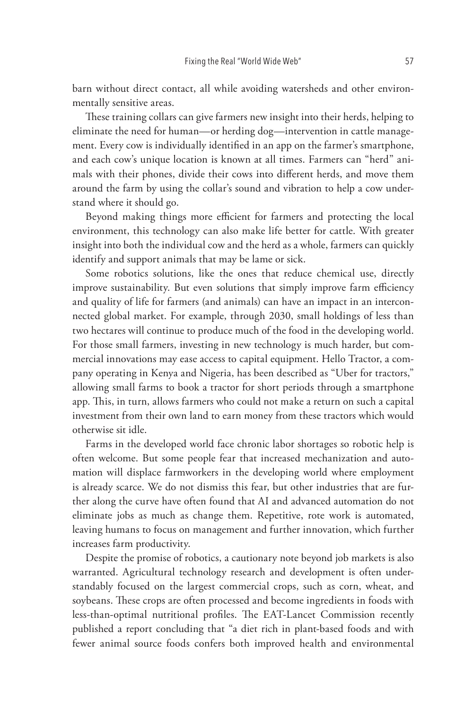barn without direct contact, all while avoiding watersheds and other environmentally sensitive areas.

These training collars can give farmers new insight into their herds, helping to eliminate the need for human—or herding dog—intervention in cattle management. Every cow is individually identified in an app on the farmer's smartphone, and each cow's unique location is known at all times. Farmers can "herd" animals with their phones, divide their cows into different herds, and move them around the farm by using the collar's sound and vibration to help a cow understand where it should go.

Beyond making things more efficient for farmers and protecting the local environment, this technology can also make life better for cattle. With greater insight into both the individual cow and the herd as a whole, farmers can quickly identify and support animals that may be lame or sick.

Some robotics solutions, like the ones that reduce chemical use, directly improve sustainability. But even solutions that simply improve farm efficiency and quality of life for farmers (and animals) can have an impact in an interconnected global market. For example, through 2030, small holdings of less than two hectares will continue to produce much of the food in the developing world. For those small farmers, investing in new technology is much harder, but commercial innovations may ease access to capital equipment. Hello Tractor, a company operating in Kenya and Nigeria, has been described as "Uber for tractors," allowing small farms to book a tractor for short periods through a smartphone app. This, in turn, allows farmers who could not make a return on such a capital investment from their own land to earn money from these tractors which would otherwise sit idle.

Farms in the developed world face chronic labor shortages so robotic help is often welcome. But some people fear that increased mechanization and automation will displace farmworkers in the developing world where employment is already scarce. We do not dismiss this fear, but other industries that are further along the curve have often found that AI and advanced automation do not eliminate jobs as much as change them. Repetitive, rote work is automated, leaving humans to focus on management and further innovation, which further increases farm productivity.

Despite the promise of robotics, a cautionary note beyond job markets is also warranted. Agricultural technology research and development is often understandably focused on the largest commercial crops, such as corn, wheat, and soybeans. These crops are often processed and become ingredients in foods with less-than-optimal nutritional profiles. The EAT-Lancet Commission recently published a report concluding that "a diet rich in plant-based foods and with fewer animal source foods confers both improved health and environmental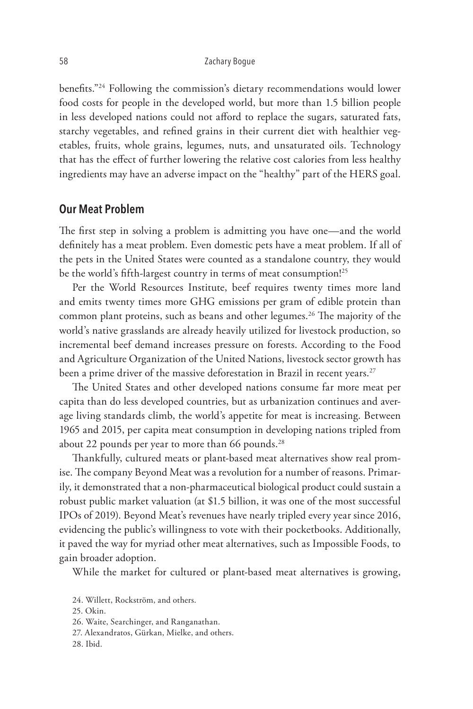benefits."24 Following the commission's dietary recommendations would lower food costs for people in the developed world, but more than 1.5 billion people in less developed nations could not afford to replace the sugars, saturated fats, starchy vegetables, and refined grains in their current diet with healthier vegetables, fruits, whole grains, legumes, nuts, and unsaturated oils. Technology that has the effect of further lowering the relative cost calories from less healthy ingredients may have an adverse impact on the "healthy" part of the HERS goal.

## **Our Meat Problem**

The first step in solving a problem is admitting you have one—and the world definitely has a meat problem. Even domestic pets have a meat problem. If all of the pets in the United States were counted as a standalone country, they would be the world's fifth-largest country in terms of meat consumption!<sup>25</sup>

Per the World Resources Institute, beef requires twenty times more land and emits twenty times more GHG emissions per gram of edible protein than common plant proteins, such as beans and other legumes.<sup>26</sup> The majority of the world's native grasslands are already heavily utilized for livestock production, so incremental beef demand increases pressure on forests. According to the Food and Agriculture Organization of the United Nations, livestock sector growth has been a prime driver of the massive deforestation in Brazil in recent years.<sup>27</sup>

The United States and other developed nations consume far more meat per capita than do less developed countries, but as urbanization continues and average living standards climb, the world's appetite for meat is increasing. Between 1965 and 2015, per capita meat consumption in developing nations tripled from about 22 pounds per year to more than 66 pounds. $^{28}$ 

Thankfully, cultured meats or plant-based meat alternatives show real promise. The company Beyond Meat was a revolution for a number of reasons. Primarily, it demonstrated that a non-pharmaceutical biological product could sustain a robust public market valuation (at \$1.5 billion, it was one of the most successful IPOs of 2019). Beyond Meat's revenues have nearly tripled every year since 2016, evidencing the public's willingness to vote with their pocketbooks. Additionally, it paved the way for myriad other meat alternatives, such as Impossible Foods, to gain broader adoption.

While the market for cultured or plant-based meat alternatives is growing,

- 27. Alexandratos, Gürkan, Mielke, and others.
- 28. Ibid.

<sup>24.</sup> Willett, Rockström, and others.

<sup>25.</sup> Okin.

<sup>26.</sup> Waite, Searchinger, and Ranganathan.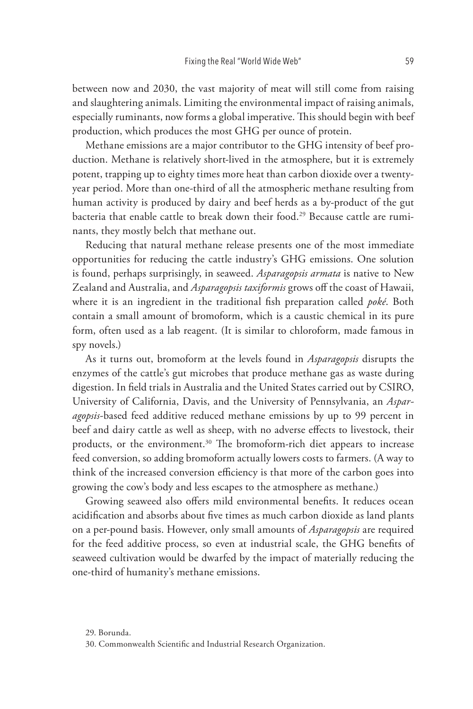between now and 2030, the vast majority of meat will still come from raising and slaughtering animals. Limiting the environmental impact of raising animals, especially ruminants, now forms a global imperative. This should begin with beef production, which produces the most GHG per ounce of protein.

Methane emissions are a major contributor to the GHG intensity of beef production. Methane is relatively short-lived in the atmosphere, but it is extremely potent, trapping up to eighty times more heat than carbon dioxide over a twentyyear period. More than one-third of all the atmospheric methane resulting from human activity is produced by dairy and beef herds as a by-product of the gut bacteria that enable cattle to break down their food.<sup>29</sup> Because cattle are ruminants, they mostly belch that methane out.

Reducing that natural methane release presents one of the most immediate opportunities for reducing the cattle industry's GHG emissions. One solution is found, perhaps surprisingly, in seaweed. *Asparagopsis armata* is native to New Zealand and Australia, and *Asparagopsis taxiformis* grows off the coast of Hawaii, where it is an ingredient in the traditional fish preparation called *poké*. Both contain a small amount of bromoform, which is a caustic chemical in its pure form, often used as a lab reagent. (It is similar to chloroform, made famous in spy novels.)

As it turns out, bromoform at the levels found in *Asparagopsis* disrupts the enzymes of the cattle's gut microbes that produce methane gas as waste during digestion. In field trials in Australia and the United States carried out by CSIRO, University of California, Davis, and the University of Pennsylvania, an *Asparagopsis-*based feed additive reduced methane emissions by up to 99 percent in beef and dairy cattle as well as sheep, with no adverse effects to livestock, their products, or the environment.<sup>30</sup> The bromoform-rich diet appears to increase feed conversion, so adding bromoform actually lowers costs to farmers. (A way to think of the increased conversion efficiency is that more of the carbon goes into growing the cow's body and less escapes to the atmosphere as methane.)

Growing seaweed also offers mild environmental benefits. It reduces ocean acidification and absorbs about five times as much carbon dioxide as land plants on a per-pound basis. However, only small amounts of *Asparagopsis* are required for the feed additive process, so even at industrial scale, the GHG benefits of seaweed cultivation would be dwarfed by the impact of materially reducing the one-third of humanity's methane emissions.

<sup>29.</sup> Borunda.

<sup>30.</sup> Commonwealth Scientific and Industrial Research Organization.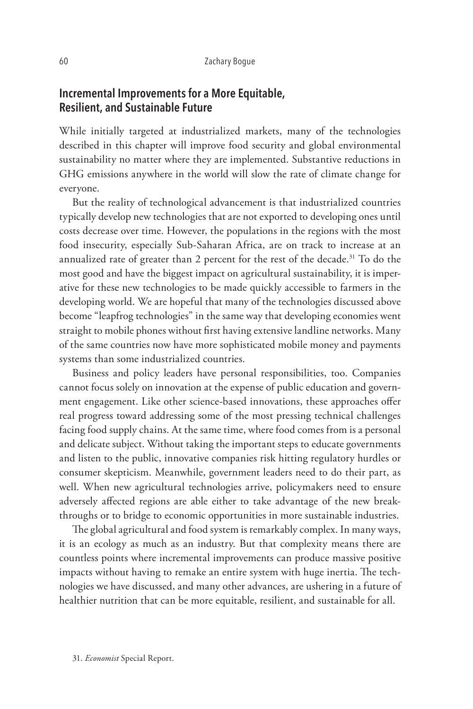## **Incremental Improvements for a More Equitable, Resilient, and Sustainable Future**

While initially targeted at industrialized markets, many of the technologies described in this chapter will improve food security and global environmental sustainability no matter where they are implemented. Substantive reductions in GHG emissions anywhere in the world will slow the rate of climate change for everyone.

But the reality of technological advancement is that industrialized countries typically develop new technologies that are not exported to developing ones until costs decrease over time. However, the populations in the regions with the most food insecurity, especially Sub-Saharan Africa, are on track to increase at an annualized rate of greater than 2 percent for the rest of the decade.<sup>31</sup> To do the most good and have the biggest impact on agricultural sustainability, it is imperative for these new technologies to be made quickly accessible to farmers in the developing world. We are hopeful that many of the technologies discussed above become "leapfrog technologies" in the same way that developing economies went straight to mobile phones without first having extensive landline networks. Many of the same countries now have more sophisticated mobile money and payments systems than some industrialized countries.

Business and policy leaders have personal responsibilities, too. Companies cannot focus solely on innovation at the expense of public education and government engagement. Like other science-based innovations, these approaches offer real progress toward addressing some of the most pressing technical challenges facing food supply chains. At the same time, where food comes from is a personal and delicate subject. Without taking the important steps to educate governments and listen to the public, innovative companies risk hitting regulatory hurdles or consumer skepticism. Meanwhile, government leaders need to do their part, as well. When new agricultural technologies arrive, policymakers need to ensure adversely affected regions are able either to take advantage of the new breakthroughs or to bridge to economic opportunities in more sustainable industries.

The global agricultural and food system is remarkably complex. In many ways, it is an ecology as much as an industry. But that complexity means there are countless points where incremental improvements can produce massive positive impacts without having to remake an entire system with huge inertia. The technologies we have discussed, and many other advances, are ushering in a future of healthier nutrition that can be more equitable, resilient, and sustainable for all.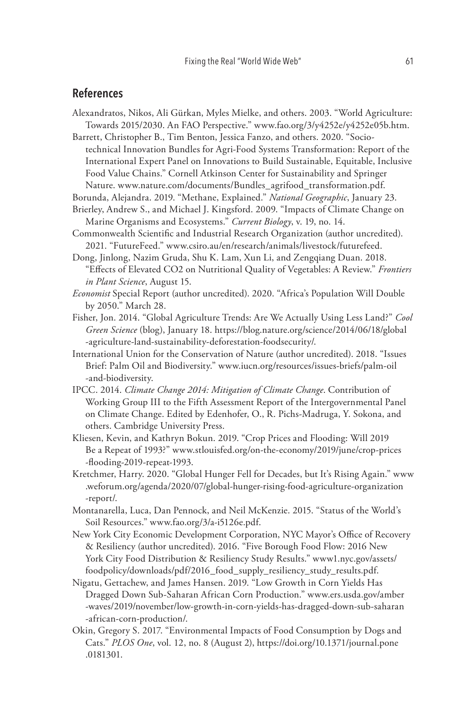## **References**

Alexandratos, Nikos, Ali Gürkan, Myles Mielke, and others. 2003. "World Agriculture: Towards 2015/2030. An FAO Perspective." www.fao.org/3/y4252e/y4252e05b.htm.

Barrett, Christopher B., Tim Benton, Jessica Fanzo, and others. 2020. "Sociotechnical Innovation Bundles for Agri-Food Systems Transformation: Report of the International Expert Panel on Innovations to Build Sustainable, Equitable, Inclusive Food Value Chains." Cornell Atkinson Center for Sustainability and Springer Nature. www.nature.com/documents/Bundles\_agrifood\_transformation.pdf.

Borunda, Alejandra. 2019. "Methane, Explained." *National Geographic*, January 23.

- Brierley, Andrew S., and Michael J. Kingsford. 2009. "Impacts of Climate Change on Marine Organisms and Ecosystems." *Current Biology*, v. 19, no. 14.
- Commonwealth Scientific and Industrial Research Organization (author uncredited). 2021. "FutureFeed." www.csiro.au/en/research/animals/livestock/futurefeed.
- Dong, Jinlong, Nazim Gruda, Shu K. Lam, Xun Li, and Zengqiang Duan. 2018. "Effects of Elevated CO2 on Nutritional Quality of Vegetables: A Review." *Frontiers in Plant Science*, August 15.
- *Economist* Special Report (author uncredited). 2020. "Africa's Population Will Double by 2050." March 28.
- Fisher, Jon. 2014. "Global Agriculture Trends: Are We Actually Using Less Land?" *Cool Green Science* (blog), January 18. https://blog.nature.org/science/2014/06/18/global -agriculture-land-sustainability-deforestation-foodsecurity/.
- International Union for the Conservation of Nature (author uncredited). 2018. "Issues Brief: Palm Oil and Biodiversity." www.iucn.org/resources/issues-briefs/palm-oil -and-biodiversity.
- IPCC. 2014. *Climate Change 2014: Mitigation of Climate Change*. Contribution of Working Group III to the Fifth Assessment Report of the Intergovernmental Panel on Climate Change. Edited by Edenhofer, O., R. Pichs-Madruga, Y. Sokona, and others. Cambridge University Press.
- Kliesen, Kevin, and Kathryn Bokun. 2019. "Crop Prices and Flooding: Will 2019 Be a Repeat of 1993?" www.stlouisfed.org/on-the-economy/2019/june/crop-prices -flooding-2019-repeat-1993.
- Kretchmer, Harry. 2020. "Global Hunger Fell for Decades, but It's Rising Again." www .weforum.org/agenda/2020/07/global-hunger-rising-food-agriculture-organization -report/.
- Montanarella, Luca, Dan Pennock, and Neil McKenzie. 2015. "Status of the World's Soil Resources." www.fao.org/3/a-i5126e.pdf.
- New York City Economic Development Corporation, NYC Mayor's Office of Recovery & Resiliency (author uncredited). 2016. "Five Borough Food Flow: 2016 New York City Food Distribution & Resiliency Study Results." www1.nyc.gov/assets/ foodpolicy/downloads/pdf/2016\_food\_supply\_resiliency\_study\_results.pdf.
- Nigatu, Gettachew, and James Hansen. 2019. "Low Growth in Corn Yields Has Dragged Down Sub-Saharan African Corn Production." www.ers.usda.gov/amber -waves/2019/november/low-growth-in-corn-yields-has-dragged-down-sub-saharan -african-corn-production/.
- Okin, Gregory S. 2017. "Environmental Impacts of Food Consumption by Dogs and Cats." *PLOS One*, vol. 12, no. 8 (August 2), https://doi.org/10.1371/journal.pone .0181301.